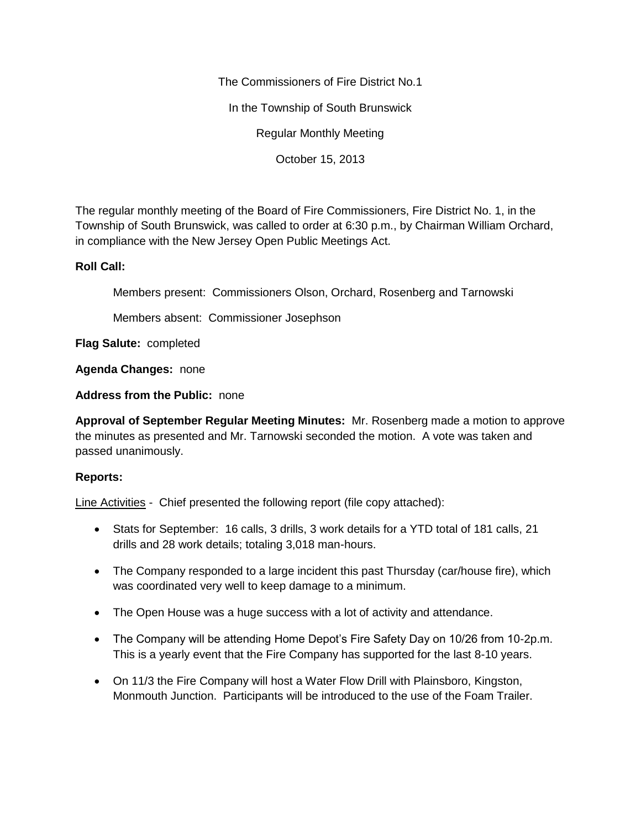The Commissioners of Fire District No.1

In the Township of South Brunswick

Regular Monthly Meeting

October 15, 2013

The regular monthly meeting of the Board of Fire Commissioners, Fire District No. 1, in the Township of South Brunswick, was called to order at 6:30 p.m., by Chairman William Orchard, in compliance with the New Jersey Open Public Meetings Act.

## **Roll Call:**

Members present: Commissioners Olson, Orchard, Rosenberg and Tarnowski

Members absent: Commissioner Josephson

**Flag Salute:** completed

**Agenda Changes:** none

**Address from the Public:** none

**Approval of September Regular Meeting Minutes:** Mr. Rosenberg made a motion to approve the minutes as presented and Mr. Tarnowski seconded the motion. A vote was taken and passed unanimously.

# **Reports:**

Line Activities - Chief presented the following report (file copy attached):

- Stats for September: 16 calls, 3 drills, 3 work details for a YTD total of 181 calls, 21 drills and 28 work details; totaling 3,018 man-hours.
- The Company responded to a large incident this past Thursday (car/house fire), which was coordinated very well to keep damage to a minimum.
- The Open House was a huge success with a lot of activity and attendance.
- The Company will be attending Home Depot's Fire Safety Day on 10/26 from 10-2p.m. This is a yearly event that the Fire Company has supported for the last 8-10 years.
- On 11/3 the Fire Company will host a Water Flow Drill with Plainsboro, Kingston, Monmouth Junction. Participants will be introduced to the use of the Foam Trailer.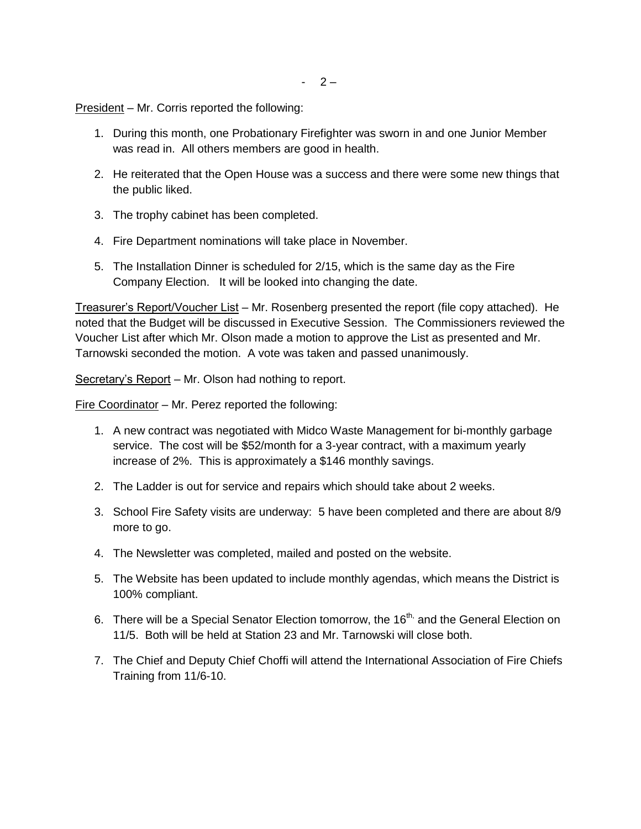$-2-$ 

President – Mr. Corris reported the following:

- 1. During this month, one Probationary Firefighter was sworn in and one Junior Member was read in. All others members are good in health.
- 2. He reiterated that the Open House was a success and there were some new things that the public liked.
- 3. The trophy cabinet has been completed.
- 4. Fire Department nominations will take place in November.
- 5. The Installation Dinner is scheduled for 2/15, which is the same day as the Fire Company Election. It will be looked into changing the date.

Treasurer's Report/Voucher List – Mr. Rosenberg presented the report (file copy attached). He noted that the Budget will be discussed in Executive Session. The Commissioners reviewed the Voucher List after which Mr. Olson made a motion to approve the List as presented and Mr. Tarnowski seconded the motion. A vote was taken and passed unanimously.

Secretary's Report - Mr. Olson had nothing to report.

Fire Coordinator – Mr. Perez reported the following:

- 1. A new contract was negotiated with Midco Waste Management for bi-monthly garbage service. The cost will be \$52/month for a 3-year contract, with a maximum yearly increase of 2%. This is approximately a \$146 monthly savings.
- 2. The Ladder is out for service and repairs which should take about 2 weeks.
- 3. School Fire Safety visits are underway: 5 have been completed and there are about 8/9 more to go.
- 4. The Newsletter was completed, mailed and posted on the website.
- 5. The Website has been updated to include monthly agendas, which means the District is 100% compliant.
- 6. There will be a Special Senator Election tomorrow, the 16<sup>th,</sup> and the General Election on 11/5. Both will be held at Station 23 and Mr. Tarnowski will close both.
- 7. The Chief and Deputy Chief Choffi will attend the International Association of Fire Chiefs Training from 11/6-10.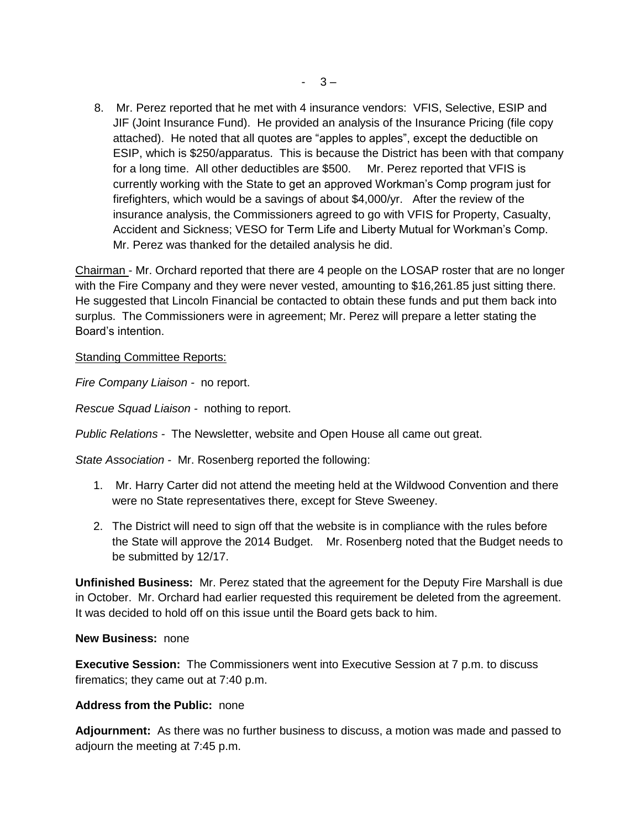8. Mr. Perez reported that he met with 4 insurance vendors: VFIS, Selective, ESIP and JIF (Joint Insurance Fund). He provided an analysis of the Insurance Pricing (file copy attached). He noted that all quotes are "apples to apples", except the deductible on ESIP, which is \$250/apparatus. This is because the District has been with that company for a long time. All other deductibles are \$500. Mr. Perez reported that VFIS is currently working with the State to get an approved Workman's Comp program just for firefighters, which would be a savings of about \$4,000/yr. After the review of the insurance analysis, the Commissioners agreed to go with VFIS for Property, Casualty, Accident and Sickness; VESO for Term Life and Liberty Mutual for Workman's Comp. Mr. Perez was thanked for the detailed analysis he did.

Chairman - Mr. Orchard reported that there are 4 people on the LOSAP roster that are no longer with the Fire Company and they were never vested, amounting to \$16,261.85 just sitting there. He suggested that Lincoln Financial be contacted to obtain these funds and put them back into surplus. The Commissioners were in agreement; Mr. Perez will prepare a letter stating the Board's intention.

## **Standing Committee Reports:**

*Fire Company Liaison -* no report.

*Rescue Squad Liaison -* nothing to report.

*Public Relations -* The Newsletter, website and Open House all came out great.

*State Association -* Mr. Rosenberg reported the following:

- 1. Mr. Harry Carter did not attend the meeting held at the Wildwood Convention and there were no State representatives there, except for Steve Sweeney.
- 2. The District will need to sign off that the website is in compliance with the rules before the State will approve the 2014 Budget. Mr. Rosenberg noted that the Budget needs to be submitted by 12/17.

**Unfinished Business:** Mr. Perez stated that the agreement for the Deputy Fire Marshall is due in October. Mr. Orchard had earlier requested this requirement be deleted from the agreement. It was decided to hold off on this issue until the Board gets back to him.

### **New Business:** none

**Executive Session:** The Commissioners went into Executive Session at 7 p.m. to discuss firematics; they came out at 7:40 p.m.

### **Address from the Public:** none

**Adjournment:** As there was no further business to discuss, a motion was made and passed to adjourn the meeting at 7:45 p.m.